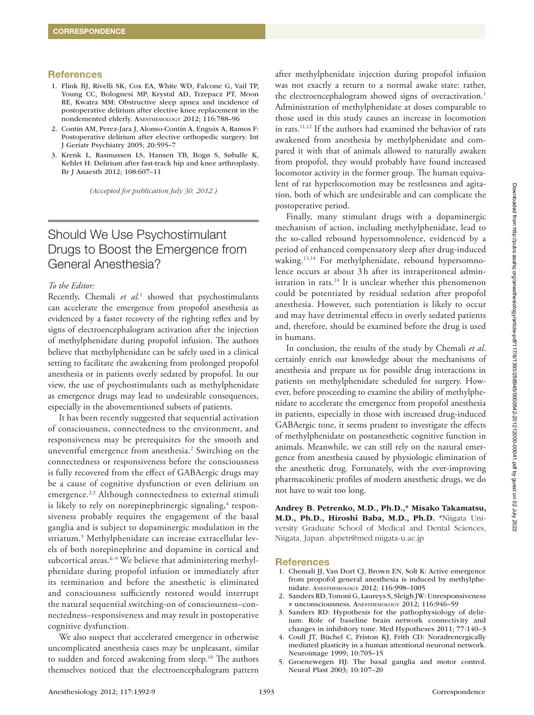## **References**

- 1. Flink BJ, Rivelli SK, Cox EA, White WD, Falcone G, Vail TP, Young CC, Bolognesi MP, Krystal AD, Trzepacz PT, Moon RE, Kwatra MM: Obstructive sleep apnea and incidence of postoperative delirium after elective knee replacement in the nondemented elderly. Anesthesiology 2012; 116:788–96
- 2. Contín AM, Perez-Jara J, Alonso-Contín A, Enguix A, Ramos F: Postoperative delirium after elective orthopedic surgery. Int J Geriatr Psychiatry 2005; 20:595–7
- 3. Krenk L, Rasmussen LS, Hansen TB, Bogø S, Søballe K, Kehlet H: Delirium after fast-track hip and knee arthroplasty. Br J Anaesth 2012; 108:607–11

*(Accepted for publication July 30, 2012.)*

# Should We Use Psychostimulant Drugs to Boost the Emergence from General Anesthesia?

# *To the Editor:*

Recently, Chemali et al.<sup>1</sup> showed that psychostimulants can accelerate the emergence from propofol anesthesia as evidenced by a faster recovery of the righting reflex and by signs of electroencephalogram activation after the injection of methylphenidate during propofol infusion. The authors believe that methylphenidate can be safely used in a clinical setting to facilitate the awakening from prolonged propofol anesthesia or in patients overly sedated by propofol. In our view, the use of psychostimulants such as methylphenidate as emergence drugs may lead to undesirable consequences, especially in the abovementioned subsets of patients.

It has been recently suggested that sequential activation of consciousness, connectedness to the environment, and responsiveness may be prerequisites for the smooth and uneventful emergence from anesthesia.2 Switching on the connectedness or responsiveness before the consciousness is fully recovered from the effect of GABAergic drugs may be a cause of cognitive dysfunction or even delirium on emergence.<sup>2,3</sup> Although connectedness to external stimuli is likely to rely on norepinephrinergic signaling, $\rm ^4$  responsiveness probably requires the engagement of the basal ganglia and is subject to dopaminergic modulation in the striatum.5 Methylphenidate can increase extracellular levels of both norepinephrine and dopamine in cortical and subcortical areas.<sup>6-9</sup> We believe that administering methylphenidate during propofol infusion or immediately after its termination and before the anesthetic is eliminated and consciousness sufficiently restored would interrupt the natural sequential switching-on of consciousness–connectedness–responsiveness and may result in postoperative cognitive dysfunction.

We also suspect that accelerated emergence in otherwise uncomplicated anesthesia cases may be unpleasant, similar to sudden and forced awakening from sleep.<sup>10</sup> The authors themselves noticed that the electroencephalogram pattern

after methylphenidate injection during propofol infusion was not exactly a return to a normal awake state: rather, the electroencephalogram showed signs of overactivation.<sup>1</sup> Administration of methylphenidate at doses comparable to those used in this study causes an increase in locomotion in rats.11,12 If the authors had examined the behavior of rats awakened from anesthesia by methylphenidate and compared it with that of animals allowed to naturally awaken from propofol, they would probably have found increased locomotor activity in the former group. The human equivalent of rat hyperlocomotion may be restlessness and agitation, both of which are undesirable and can complicate the postoperative period.

Finally, many stimulant drugs with a dopaminergic mechanism of action, including methylphenidate, lead to the so-called rebound hypersomnolence, evidenced by a period of enhanced compensatory sleep after drug-induced waking.<sup>13,14</sup> For methylphenidate, rebound hypersomnolence occurs at about 3h after its intraperitoneal administration in rats.<sup>14</sup> It is unclear whether this phenomenon could be potentiated by residual sedation after propofol anesthesia. However, such potentiation is likely to occur and may have detrimental effects in overly sedated patients and, therefore, should be examined before the drug is used in humans.

In conclusion, the results of the study by Chemali *et al*. certainly enrich our knowledge about the mechanisms of anesthesia and prepare us for possible drug interactions in patients on methylphenidate scheduled for surgery. However, before proceeding to examine the ability of methylphenidate to accelerate the emergence from propofol anesthesia in patients, especially in those with increased drug-induced GABAergic tone, it seems prudent to investigate the effects of methylphenidate on postanesthetic cognitive function in animals. Meanwhile, we can still rely on the natural emergence from anesthesia caused by physiologic elimination of the anesthetic drug. Fortunately, with the ever-improving pharmacokinetic profiles of modern anesthetic drugs, we do not have to wait too long.

Andrey B. Petrenko, M.D., Ph.D.,\* Misako Takamatsu, M.D., Ph.D., Hiroshi Baba, M.D., Ph.D. \*Niigata University Graduate School of Medical and Dental Sciences, Niigata, Japan. [abpetr@med.niigata-u.ac.jp](mailto:abpetr@med.niigata-u.ac.jp)

#### **References**

- 1. Chemali JJ, Van Dort CJ, Brown EN, Solt K: Active emergence from propofol general anesthesia is induced by methylphenidate. Anesthesiology 2012; 116:998–1005
- 2. Sanders RD, Tononi G, Laureys S, Sleigh JW: Unresponsiveness ≠ unconsciousness. Anesthesiology 2012; 116:946–59
- 3. Sanders RD: Hypothesis for the pathophysiology of delirium: Role of baseline brain network connectivity and changes in inhibitory tone. Med Hypotheses 2011; 77:140–3
- 4. Coull JT, Büchel C, Friston KJ, Frith CD: Noradrenergically mediated plasticity in a human attentional neuronal network. Neuroimage 1999; 10:705–15
- 5. Groenewegen HJ: The basal ganglia and motor control. Neural Plast 2003; 10:107–20